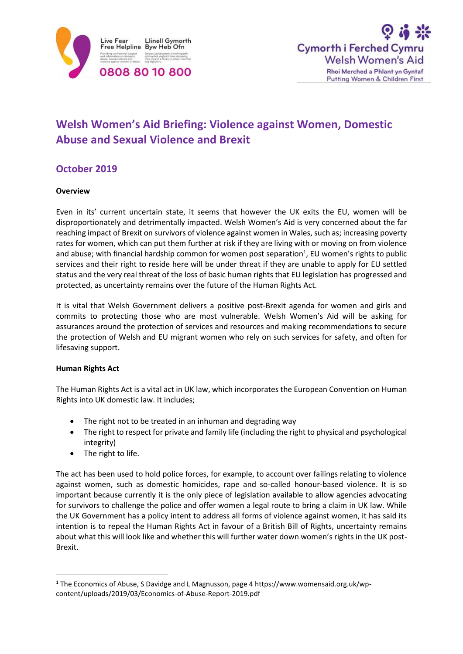



# **Welsh Women's Aid Briefing: Violence against Women, Domestic Abuse and Sexual Violence and Brexit**

# **October 2019**

# **Overview**

Even in its' current uncertain state, it seems that however the UK exits the EU, women will be disproportionately and detrimentally impacted. Welsh Women's Aid is very concerned about the far reaching impact of Brexit on survivors of violence against women in Wales, such as; increasing poverty rates for women, which can put them further at risk if they are living with or moving on from violence and abuse; with financial hardship common for women post separation<sup>1</sup>, EU women's rights to public services and their right to reside here will be under threat if they are unable to apply for EU settled status and the very real threat of the loss of basic human rights that EU legislation has progressed and protected, as uncertainty remains over the future of the Human Rights Act.

It is vital that Welsh Government delivers a positive post-Brexit agenda for women and girls and commits to protecting those who are most vulnerable. Welsh Women's Aid will be asking for assurances around the protection of services and resources and making recommendations to secure the protection of Welsh and EU migrant women who rely on such services for safety, and often for lifesaving support.

# **Human Rights Act**

The Human Rights Act is a vital act in UK law, which incorporates the European Convention on Human Rights into UK domestic law. It includes;

- The right not to be treated in an inhuman and degrading way
- The right to respect for private and family life (including the right to physical and psychological integrity)
- The right to life.

1

The act has been used to hold police forces, for example, to account over failings relating to violence against women, such as domestic homicides, rape and so-called honour-based violence. It is so important because currently it is the only piece of legislation available to allow agencies advocating for survivors to challenge the police and offer women a legal route to bring a claim in UK law. While the UK Government has a policy intent to address all forms of violence against women, it has said its intention is to repeal the Human Rights Act in favour of a British Bill of Rights, uncertainty remains about what this will look like and whether this will further water down women's rights in the UK post-Brexit.

<sup>&</sup>lt;sup>1</sup> The Economics of Abuse, S Davidge and L Magnusson, page 4 https://www.womensaid.org.uk/wpcontent/uploads/2019/03/Economics-of-Abuse-Report-2019.pdf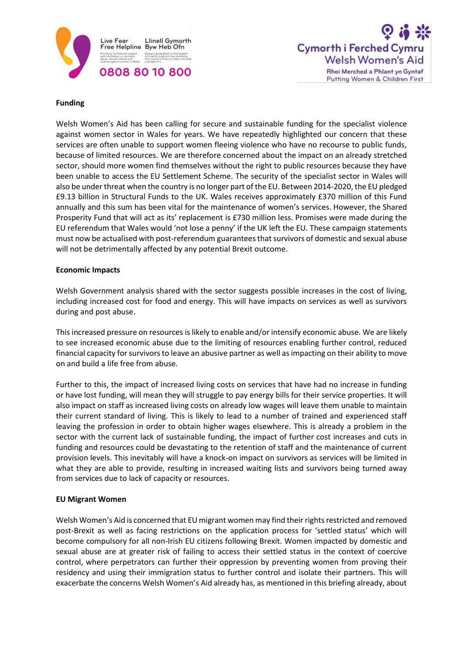



#### **Funding**

Welsh Women's Aid has been calling for secure and sustainable funding for the specialist violence against women sector in Wales for years. We have repeatedly highlighted our concern that these services are often unable to support women fleeing violence who have no recourse to public funds, because of limited resources. We are therefore concerned about the impact on an already stretched sector, should more women find themselves without the right to public resources because they have been unable to access the EU Settlement Scheme. The security of the specialist sector in Wales will also be under threat when the country is no longer part of the EU. Between 2014-2020, the EU pledged £9.13 billion in Structural Funds to the UK. Wales receives approximately £370 million of this Fund annually and this sum has been vital for the maintenance of women's services. However, the Shared Prosperity Fund that will act as its' replacement is £730 million less. Promises were made during the EU referendum that Wales would 'not lose a penny' if the UK left the EU. These campaign statements must now be actualised with post-referendum guarantees that survivors of domestic and sexual abuse will not be detrimentally affected by any potential Brexit outcome.

#### **Economic Impacts**

Welsh Government analysis shared with the sector suggests possible increases in the cost of living, including increased cost for food and energy. This will have impacts on services as well as survivors during and post abuse.

This increased pressure on resources is likely to enable and/or intensify economic abuse. We are likely to see increased economic abuse due to the limiting of resources enabling further control, reduced financial capacity for survivors to leave an abusive partner as well as impacting on their ability to move on and build a life free from abuse.

Further to this, the impact of increased living costs on services that have had no increase in funding or have lost funding, will mean they will struggle to pay energy bills for their service properties. It will also impact on staff as increased living costs on already low wages will leave them unable to maintain their current standard of living. This is likely to lead to a number of trained and experienced staff leaving the profession in order to obtain higher wages elsewhere. This is already a problem in the sector with the current lack of sustainable funding, the impact of further cost increases and cuts in funding and resources could be devastating to the retention of staff and the maintenance of current provision levels. This inevitably will have a knock-on impact on survivors as services will be limited in what they are able to provide, resulting in increased waiting lists and survivors being turned away from services due to lack of capacity or resources.

# **EU Migrant Women**

Welsh Women's Aid is concerned that EU migrant women may find their rights restricted and removed post-Brexit as well as facing restrictions on the application process for 'settled status' which will become compulsory for all non-Irish EU citizens following Brexit. Women impacted by domestic and sexual abuse are at greater risk of failing to access their settled status in the context of coercive control, where perpetrators can further their oppression by preventing women from proving their residency and using their immigration status to further control and isolate their partners. This will exacerbate the concerns Welsh Women's Aid already has, as mentioned in this briefing already, about